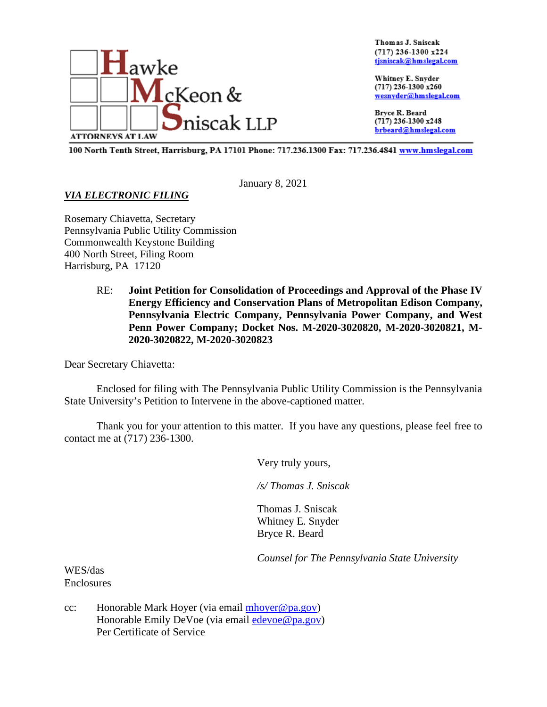

Thomas J. Sniscak  $(717)$  236-1300 x224 tjsniscak@hmslegal.com

Whitney E. Snyder (717) 236-1300 x260 wesnyder@hmslegal.com

Bryce R. Beard (717) 236-1300 x248 brbeard@hmslegal.com

100 North Tenth Street, Harrisburg, PA 17101 Phone: 717.236.1300 Fax: 717.236.4841 www.hmslegal.com

January 8, 2021

## *VIA ELECTRONIC FILING*

Rosemary Chiavetta, Secretary Pennsylvania Public Utility Commission Commonwealth Keystone Building 400 North Street, Filing Room Harrisburg, PA 17120

> RE: **Joint Petition for Consolidation of Proceedings and Approval of the Phase IV Energy Efficiency and Conservation Plans of Metropolitan Edison Company, Pennsylvania Electric Company, Pennsylvania Power Company, and West Penn Power Company; Docket Nos. M-2020-3020820, M-2020-3020821, M-2020-3020822, M-2020-3020823**

Dear Secretary Chiavetta:

Enclosed for filing with The Pennsylvania Public Utility Commission is the Pennsylvania State University's Petition to Intervene in the above-captioned matter.

Thank you for your attention to this matter. If you have any questions, please feel free to contact me at (717) 236-1300.

Very truly yours,

*/s/ Thomas J. Sniscak*

Thomas J. Sniscak Whitney E. Snyder Bryce R. Beard

*Counsel for The Pennsylvania State University* 

WES/das Enclosures

cc: Honorable Mark Hoyer (via email  $m$ hoyer  $@p$ a.gov) Honorable Emily DeVoe (via email [edevoe@pa.gov\)](mailto:edevoe@pa.gov) Per Certificate of Service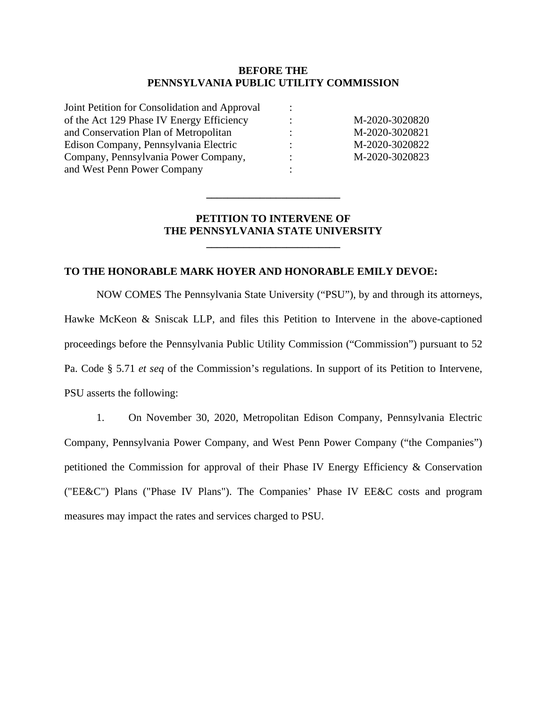#### **BEFORE THE PENNSYLVANIA PUBLIC UTILITY COMMISSION**

| Joint Petition for Consolidation and Approval |                      |                |
|-----------------------------------------------|----------------------|----------------|
| of the Act 129 Phase IV Energy Efficiency     | $\ddot{\phantom{a}}$ | M-2020-3020820 |
| and Conservation Plan of Metropolitan         | ٠                    | M-2020-3020821 |
| Edison Company, Pennsylvania Electric         |                      | M-2020-3020822 |
| Company, Pennsylvania Power Company,          | ÷                    | M-2020-3020823 |
| and West Penn Power Company                   |                      |                |

### **PETITION TO INTERVENE OF THE PENNSYLVANIA STATE UNIVERSITY**

**\_\_\_\_\_\_\_\_\_\_\_\_\_\_\_\_\_\_\_\_\_\_\_\_\_**

**\_\_\_\_\_\_\_\_\_\_\_\_\_\_\_\_\_\_\_\_\_\_\_\_\_**

#### **TO THE HONORABLE MARK HOYER AND HONORABLE EMILY DEVOE:**

NOW COMES The Pennsylvania State University ("PSU"), by and through its attorneys, Hawke McKeon & Sniscak LLP, and files this Petition to Intervene in the above-captioned proceedings before the Pennsylvania Public Utility Commission ("Commission") pursuant to 52 Pa. Code § 5.71 *et seq* of the Commission's regulations. In support of its Petition to Intervene, PSU asserts the following:

1. On November 30, 2020, Metropolitan Edison Company, Pennsylvania Electric Company, Pennsylvania Power Company, and West Penn Power Company ("the Companies") petitioned the Commission for approval of their Phase IV Energy Efficiency & Conservation ("EE&C") Plans ("Phase IV Plans"). The Companies' Phase IV EE&C costs and program measures may impact the rates and services charged to PSU.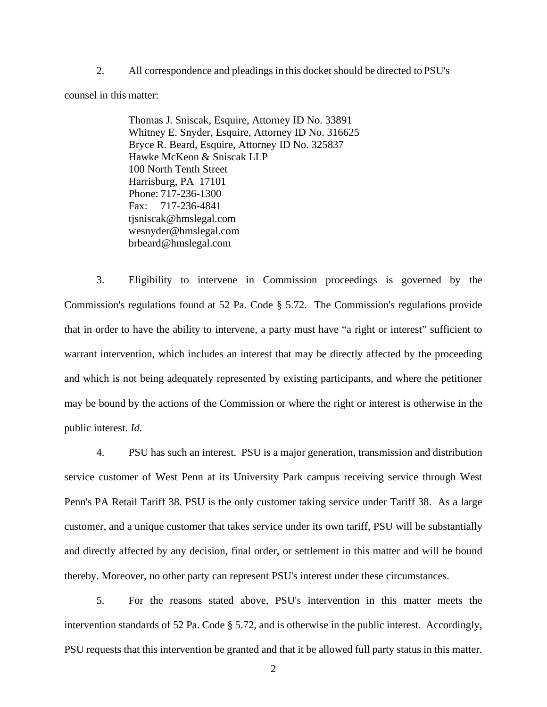2. All correspondence and pleadings in this docket should be directed to PSU's

counsel in this matter:

Thomas J. Sniscak, Esquire, Attorney ID No. 33891 Whitney E. Snyder, Esquire, Attorney ID No. 316625 Bryce R. Beard, Esquire, Attorney ID No. 325837 Hawke McKeon & Sniscak LLP 100 North Tenth Street Harrisburg, PA 17101 Phone: 717-236-1300 Fax: 717-236-4841 tjsniscak@hmslegal.com wesnyder@hmslegal.com brbeard@hmslegal.com

3. Eligibility to intervene in Commission proceedings is governed by the Commission's regulations found at 52 Pa. Code § 5.72. The Commission's regulations provide that in order to have the ability to intervene, a party must have "a right or interest" sufficient to warrant intervention, which includes an interest that may be directly affected by the proceeding and which is not being adequately represented by existing participants, and where the petitioner may be bound by the actions of the Commission or where the right or interest is otherwise in the public interest. *Id.*

4. PSU has such an interest. PSU is a major generation, transmission and distribution service customer of West Penn at its University Park campus receiving service through West Penn's PA Retail Tariff 38. PSU is the only customer taking service under Tariff 38. As a large customer, and a unique customer that takes service under its own tariff, PSU will be substantially and directly affected by any decision, final order, or settlement in this matter and will be bound thereby. Moreover, no other party can represent PSU's interest under these circumstances.

5. For the reasons stated above, PSU's intervention in this matter meets the intervention standards of 52 Pa. Code § 5.72, and is otherwise in the public interest. Accordingly, PSU requests that this intervention be granted and that it be allowed full party status in this matter.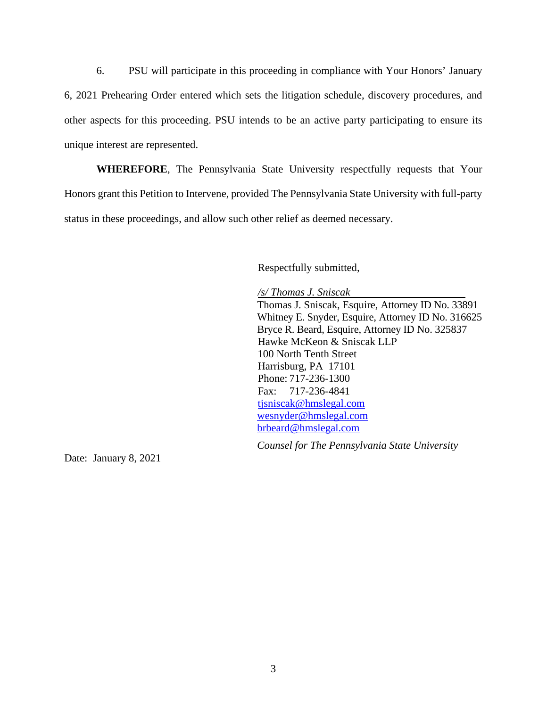6. PSU will participate in this proceeding in compliance with Your Honors' January 6, 2021 Prehearing Order entered which sets the litigation schedule, discovery procedures, and other aspects for this proceeding. PSU intends to be an active party participating to ensure its unique interest are represented.

**WHEREFORE**, The Pennsylvania State University respectfully requests that Your Honors grant this Petition to Intervene, provided The Pennsylvania State University with full-party status in these proceedings, and allow such other relief as deemed necessary.

Respectfully submitted,

*/s/ Thomas J. Sniscak* 

Thomas J. Sniscak, Esquire, Attorney ID No. 33891 Whitney E. Snyder, Esquire, Attorney ID No. 316625 Bryce R. Beard, Esquire, Attorney ID No. 325837 Hawke McKeon & Sniscak LLP 100 North Tenth Street Harrisburg, PA 17101 Phone: 717-236-1300 Fax: 717-236-4841 [tjsniscak@hmslegal.com](mailto:tjsniscak@hmslegal.com) [wesnyder@hmslegal.com](mailto:wesnyder@hmslegal.com) [brbeard@hmslegal.com](mailto:brbeard@hmslegal.com)

*Counsel for The Pennsylvania State University*

Date: January 8, 2021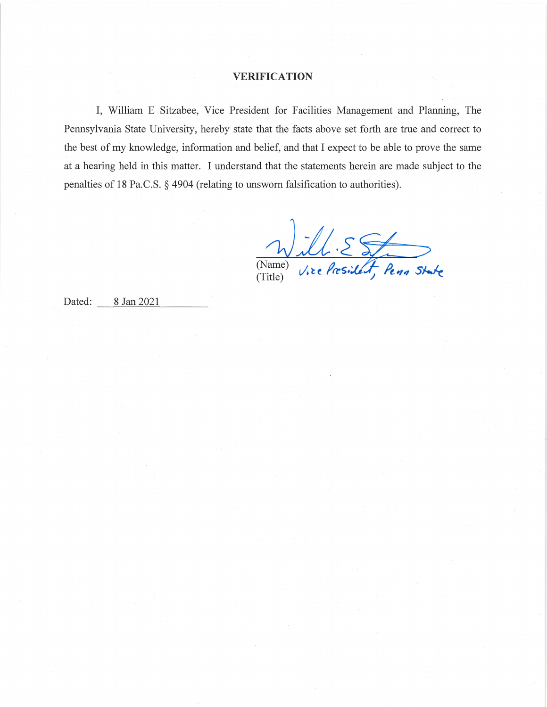#### **VERIFICATION**

I, William E Sitzabee, Vice President for Facilities Management and Planning, The Pennsylvania State University, hereby state that the facts above set forth are true and correct to the best of my knowledge, information and belief, and that I expect to be able to prove the same at a hearing held in this matter. I understand that the statements herein are made subject to the penalties of 18 Pa.C.S. § 4904 (relating to unsworn falsification to authorities).

ill. EST (Name)  $(Title)$ 

Dated: 8 Jan 2021